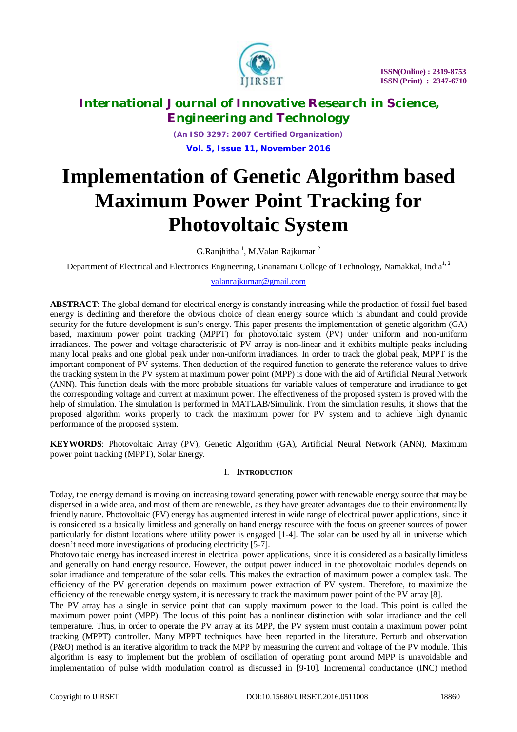

*(An ISO 3297: 2007 Certified Organization)* **Vol. 5, Issue 11, November 2016**

# **Implementation of Genetic Algorithm based Maximum Power Point Tracking for Photovoltaic System**

G.Ranjhitha  $^1$ , M.Valan Rajkumar  $^2$ 

Department of Electrical and Electronics Engineering, Gnanamani College of Technology, Namakkal, India<sup>1,2</sup>

[valanrajkumar@gmail.com](mailto:valanrajkumar@gmail.com)

**ABSTRACT**: The global demand for electrical energy is constantly increasing while the production of fossil fuel based energy is declining and therefore the obvious choice of clean energy source which is abundant and could provide security for the future development is sun's energy. This paper presents the implementation of genetic algorithm (GA) based, maximum power point tracking (MPPT) for photovoltaic system (PV) under uniform and non-uniform irradiances. The power and voltage characteristic of PV array is non-linear and it exhibits multiple peaks including many local peaks and one global peak under non-uniform irradiances. In order to track the global peak, MPPT is the important component of PV systems. Then deduction of the required function to generate the reference values to drive the tracking system in the PV system at maximum power point (MPP) is done with the aid of Artificial Neural Network (ANN). This function deals with the more probable situations for variable values of temperature and irradiance to get the corresponding voltage and current at maximum power. The effectiveness of the proposed system is proved with the help of simulation. The simulation is performed in MATLAB/Simulink. From the simulation results, it shows that the proposed algorithm works properly to track the maximum power for PV system and to achieve high dynamic performance of the proposed system.

**KEYWORDS**: Photovoltaic Array (PV), Genetic Algorithm (GA), Artificial Neural Network (ANN), Maximum power point tracking (MPPT), Solar Energy.

#### I. **INTRODUCTION**

Today, the energy demand is moving on increasing toward generating power with renewable energy source that may be dispersed in a wide area, and most of them are renewable, as they have greater advantages due to their environmentally friendly nature. Photovoltaic (PV) energy has augmented interest in wide range of electrical power applications, since it is considered as a basically limitless and generally on hand energy resource with the focus on greener sources of power particularly for distant locations where utility power is engaged [1-4]. The solar can be used by all in universe which doesn't need more investigations of producing electricity [5-7].

Photovoltaic energy has increased interest in electrical power applications, since it is considered as a basically limitless and generally on hand energy resource. However, the output power induced in the photovoltaic modules depends on solar irradiance and temperature of the solar cells. This makes the extraction of maximum power a complex task. The efficiency of the PV generation depends on maximum power extraction of PV system. Therefore, to maximize the efficiency of the renewable energy system, it is necessary to track the maximum power point of the PV array [8].

The PV array has a single in service point that can supply maximum power to the load. This point is called the maximum power point (MPP). The locus of this point has a nonlinear distinction with solar irradiance and the cell temperature. Thus, in order to operate the PV array at its MPP, the PV system must contain a maximum power point tracking (MPPT) controller. Many MPPT techniques have been reported in the literature. Perturb and observation (P&O) method is an iterative algorithm to track the MPP by measuring the current and voltage of the PV module. This algorithm is easy to implement but the problem of oscillation of operating point around MPP is unavoidable and implementation of pulse width modulation control as discussed in [9-10]. Incremental conductance (INC) method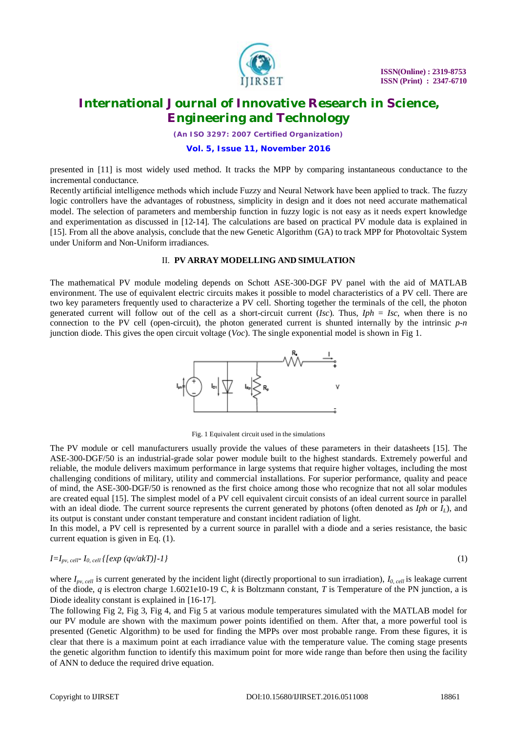

*(An ISO 3297: 2007 Certified Organization)*

#### **Vol. 5, Issue 11, November 2016**

presented in [11] is most widely used method. It tracks the MPP by comparing instantaneous conductance to the incremental conductance.

Recently artificial intelligence methods which include Fuzzy and Neural Network have been applied to track. The fuzzy logic controllers have the advantages of robustness, simplicity in design and it does not need accurate mathematical model. The selection of parameters and membership function in fuzzy logic is not easy as it needs expert knowledge and experimentation as discussed in [12-14]. The calculations are based on practical PV module data is explained in [15]. From all the above analysis, conclude that the new Genetic Algorithm (GA) to track MPP for Photovoltaic System under Uniform and Non-Uniform irradiances.

#### II. **PV ARRAY MODELLING AND SIMULATION**

The mathematical PV module modeling depends on Schott ASE-300-DGF PV panel with the aid of MATLAB environment. The use of equivalent electric circuits makes it possible to model characteristics of a PV cell. There are two key parameters frequently used to characterize a PV cell. Shorting together the terminals of the cell, the photon generated current will follow out of the cell as a short-circuit current (*Isc*). Thus, *Iph* = *Isc*, when there is no connection to the PV cell (open-circuit), the photon generated current is shunted internally by the intrinsic *p-n* junction diode. This gives the open circuit voltage (*Voc*). The single exponential model is shown in Fig 1.



Fig. 1 Equivalent circuit used in the simulations

The PV module or cell manufacturers usually provide the values of these parameters in their datasheets [15]. The ASE-300-DGF/50 is an industrial-grade solar power module built to the highest standards. Extremely powerful and reliable, the module delivers maximum performance in large systems that require higher voltages, including the most challenging conditions of military, utility and commercial installations. For superior performance, quality and peace of mind, the ASE-300-DGF/50 is renowned as the first choice among those who recognize that not all solar modules are created equal [15]. The simplest model of a PV cell equivalent circuit consists of an ideal current source in parallel with an ideal diode. The current source represents the current generated by photons (often denoted as *Iph* or *IL*), and its output is constant under constant temperature and constant incident radiation of light.

In this model, a PV cell is represented by a current source in parallel with a diode and a series resistance, the basic current equation is given in Eq. (1).

#### $I = I_{pv, cell} \{ [exp(qv/akT)] - 1 \}$  (1)

where *Ipv, cell* is current generated by the incident light (directly proportional to sun irradiation), *I0, cell* is leakage current of the diode, *q* is electron charge 1.6021e10-19 C, *k* is Boltzmann constant, *T* is Temperature of the PN junction, a is Diode ideality constant is explained in [16-17].

The following Fig 2, Fig 3, Fig 4, and Fig 5 at various module temperatures simulated with the MATLAB model for our PV module are shown with the maximum power points identified on them. After that, a more powerful tool is presented (Genetic Algorithm) to be used for finding the MPPs over most probable range. From these figures, it is clear that there is a maximum point at each irradiance value with the temperature value. The coming stage presents the genetic algorithm function to identify this maximum point for more wide range than before then using the facility of ANN to deduce the required drive equation.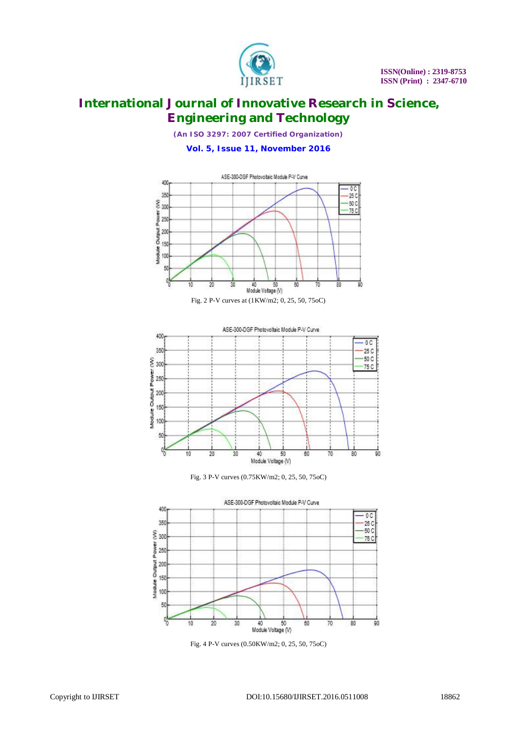

*(An ISO 3297: 2007 Certified Organization)*

**Vol. 5, Issue 11, November 2016**









Fig. 4 P-V curves (0.50KW/m2; 0, 25, 50, 75oC)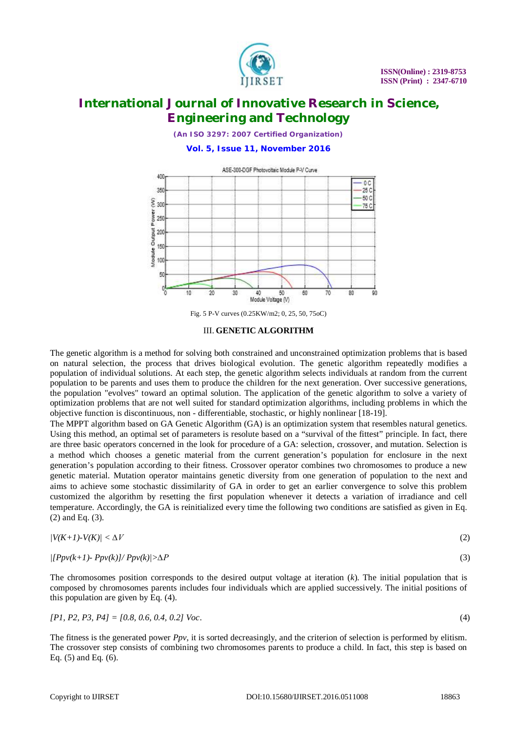

*(An ISO 3297: 2007 Certified Organization)*

**Vol. 5, Issue 11, November 2016**



Fig. 5 P-V curves (0.25KW/m2; 0, 25, 50, 75oC)

#### III. **GENETIC ALGORITHM**

The genetic algorithm is a method for solving both constrained and unconstrained optimization problems that is based on natural selection, the process that drives biological evolution. The genetic algorithm repeatedly modifies a population of individual solutions. At each step, the genetic algorithm selects individuals at random from the current population to be parents and uses them to produce the children for the next generation. Over successive generations, the population "evolves" toward an optimal solution. The application of the genetic algorithm to solve a variety of optimization problems that are not well suited for standard optimization algorithms, including problems in which the objective function is discontinuous, non - differentiable, stochastic, or highly nonlinear [18-19].

The MPPT algorithm based on GA Genetic Algorithm (GA) is an optimization system that resembles natural genetics. Using this method, an optimal set of parameters is resolute based on a "survival of the fittest" principle. In fact, there are three basic operators concerned in the look for procedure of a GA: selection, crossover, and mutation. Selection is a method which chooses a genetic material from the current generation's population for enclosure in the next generation's population according to their fitness. Crossover operator combines two chromosomes to produce a new genetic material. Mutation operator maintains genetic diversity from one generation of population to the next and aims to achieve some stochastic dissimilarity of GA in order to get an earlier convergence to solve this problem customized the algorithm by resetting the first population whenever it detects a variation of irradiance and cell temperature. Accordingly, the GA is reinitialized every time the following two conditions are satisfied as given in Eq. (2) and Eq. (3).

$$
|V(K+1)\cdot V(K)| < \Delta V \tag{2}
$$

$$
([Ppv(k+1)-Ppv(k)]/Ppv(k)|>\Delta P
$$
\n(3)

The chromosomes position corresponds to the desired output voltage at iteration (*k*). The initial population that is composed by chromosomes parents includes four individuals which are applied successively. The initial positions of this population are given by Eq. (4).

$$
[P1, P2, P3, P4] = [0.8, 0.6, 0.4, 0.2] \text{ Voc.}
$$
\n
$$
(4)
$$

The fitness is the generated power *Ppv*, it is sorted decreasingly, and the criterion of selection is performed by elitism. The crossover step consists of combining two chromosomes parents to produce a child. In fact, this step is based on Eq. (5) and Eq. (6).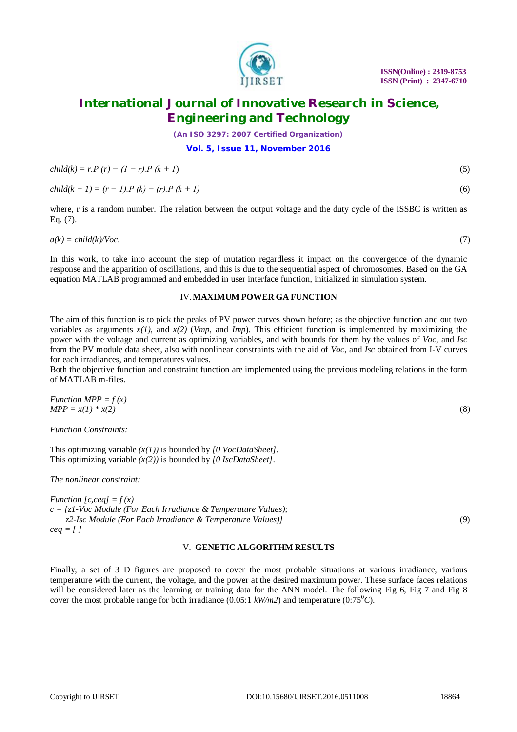

*(An ISO 3297: 2007 Certified Organization)*

#### **Vol. 5, Issue 11, November 2016**

$$
child(k) = r.P (r) - (1 - r).P (k + 1)
$$
\n(5)

 $child(k + 1) = (r - 1) \cdot P(k) - (r) \cdot P(k + 1)$  (6)

where, r is a random number. The relation between the output voltage and the duty cycle of the ISSBC is written as Eq. (7).

 $a(k) = \text{child}(k)/\text{Voc}.$  (7)

In this work, to take into account the step of mutation regardless it impact on the convergence of the dynamic response and the apparition of oscillations, and this is due to the sequential aspect of chromosomes. Based on the GA equation MATLAB programmed and embedded in user interface function, initialized in simulation system.

#### IV.**MAXIMUM POWER GA FUNCTION**

The aim of this function is to pick the peaks of PV power curves shown before; as the objective function and out two variables as arguments  $x(1)$ , and  $x(2)$  (*Vmp*, and *Imp*). This efficient function is implemented by maximizing the power with the voltage and current as optimizing variables, and with bounds for them by the values of *Voc,* and *Isc* from the PV module data sheet, also with nonlinear constraints with the aid of *Voc*, and *Isc* obtained from I-V curves for each irradiances, and temperatures values.

Both the objective function and constraint function are implemented using the previous modeling relations in the form of MATLAB m-files.

Function 
$$
MPP = f(x)
$$
  
\n $MPP = x(1) * x(2)$  (8)

*Function Constraints:* 

This optimizing variable *(x(1))* is bounded by *[0 VocDataSheet]*. This optimizing variable *(x(2))* is bounded by *[0 IscDataSheet]*.

*The nonlinear constraint:* 

*Function [c,ceq]* =  $f(x)$ *c = [z1-Voc Module (For Each Irradiance & Temperature Values); z2-Isc Module (For Each Irradiance & Temperature Values)]* (9) *ceq = [ ]* 

#### V. **GENETIC ALGORITHM RESULTS**

Finally, a set of 3 D figures are proposed to cover the most probable situations at various irradiance, various temperature with the current, the voltage, and the power at the desired maximum power. These surface faces relations will be considered later as the learning or training data for the ANN model. The following Fig 6, Fig 7 and Fig 8 cover the most probable range for both irradiance (0.05:1  $kW/m2$ ) and temperature (0:75<sup>o</sup>C).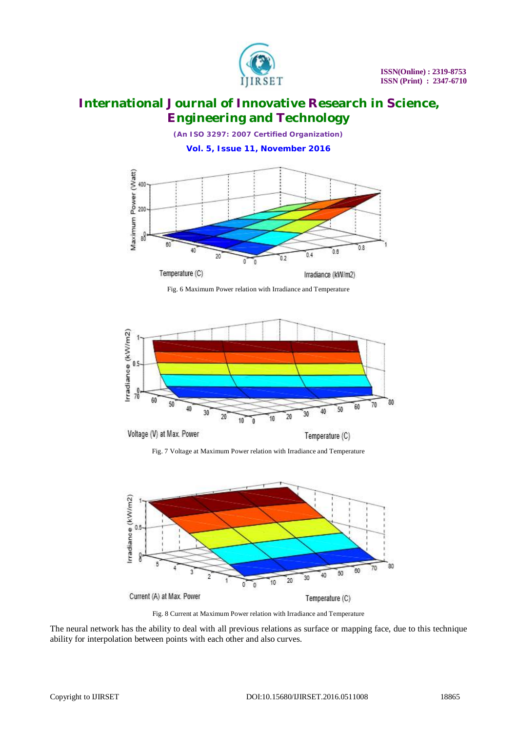

*(An ISO 3297: 2007 Certified Organization)*

**Vol. 5, Issue 11, November 2016**



Fig. 6 Maximum Power relation with Irradiance and Temperature



Fig. 7 Voltage at Maximum Power relation with Irradiance and Temperature



Fig. 8 Current at Maximum Power relation with Irradiance and Temperature

The neural network has the ability to deal with all previous relations as surface or mapping face, due to this technique ability for interpolation between points with each other and also curves.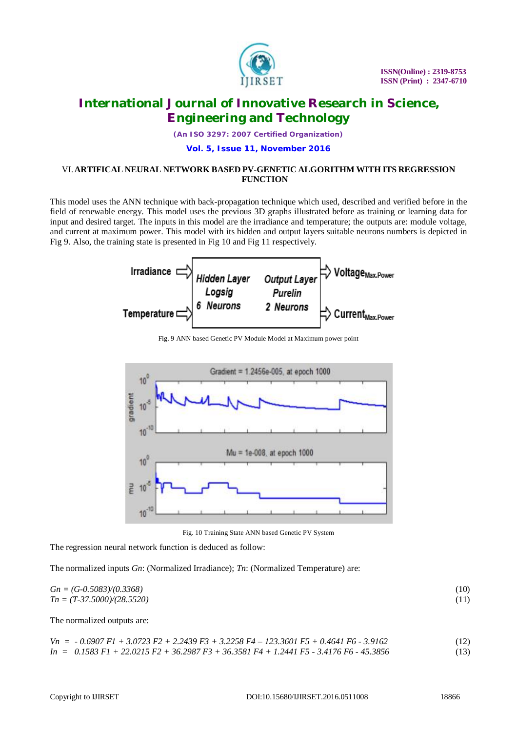

*(An ISO 3297: 2007 Certified Organization)*

#### **Vol. 5, Issue 11, November 2016**

#### VI.**ARTIFICAL NEURAL NETWORK BASED PV-GENETIC ALGORITHM WITH ITS REGRESSION FUNCTION**

This model uses the ANN technique with back-propagation technique which used, described and verified before in the field of renewable energy. This model uses the previous 3D graphs illustrated before as training or learning data for input and desired target. The inputs in this model are the irradiance and temperature; the outputs are: module voltage, and current at maximum power. This model with its hidden and output layers suitable neurons numbers is depicted in Fig 9. Also, the training state is presented in Fig 10 and Fig 11 respectively.







Fig. 10 Training State ANN based Genetic PV System

The regression neural network function is deduced as follow:

The normalized inputs *Gn*: (Normalized Irradiance); *Tn*: (Normalized Temperature) are:

 $Gn = (G-0.5083)/(0.3368)$  (10) *Tn = (T-37.5000)/(28.5520)* (11)

The normalized outputs are:

$$
Vn = -0.6907 \text{ F1} + 3.0723 \text{ F2} + 2.2439 \text{ F3} + 3.2258 \text{ F4} - 123.3601 \text{ F5} + 0.4641 \text{ F6} - 3.9162
$$
  
\n
$$
In = 0.1583 \text{ F1} + 22.0215 \text{ F2} + 36.2987 \text{ F3} + 36.3581 \text{ F4} + 1.2441 \text{ F5} - 3.4176 \text{ F6} - 45.3856
$$
 (13)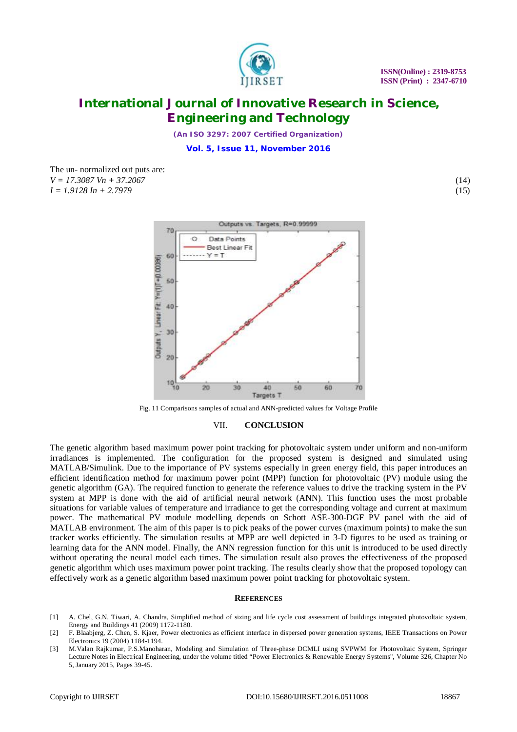

*(An ISO 3297: 2007 Certified Organization)*

**Vol. 5, Issue 11, November 2016**

The un- normalized out puts are: *V = 17.3087 Vn + 37.2067* (14) *I = 1.9128 In + 2.7979* (15)

> Outputs vs. Targets, R=0.99999  $70$ O Data Points Rost Lingar Fit  $V - T$ 60 Outputs Y, Linear Fit: Y=(1)T+(0.0006)  $50$ 40 30  $20$ 10 30 40 60 20 60 Targets T

Fig. 11 Comparisons samples of actual and ANN-predicted values for Voltage Profile

#### VII. **CONCLUSION**

The genetic algorithm based maximum power point tracking for photovoltaic system under uniform and non-uniform irradiances is implemented. The configuration for the proposed system is designed and simulated using MATLAB/Simulink. Due to the importance of PV systems especially in green energy field, this paper introduces an efficient identification method for maximum power point (MPP) function for photovoltaic (PV) module using the genetic algorithm (GA). The required function to generate the reference values to drive the tracking system in the PV system at MPP is done with the aid of artificial neural network (ANN). This function uses the most probable situations for variable values of temperature and irradiance to get the corresponding voltage and current at maximum power. The mathematical PV module modelling depends on Schott ASE-300-DGF PV panel with the aid of MATLAB environment. The aim of this paper is to pick peaks of the power curves (maximum points) to make the sun tracker works efficiently. The simulation results at MPP are well depicted in 3-D figures to be used as training or learning data for the ANN model. Finally, the ANN regression function for this unit is introduced to be used directly without operating the neural model each times. The simulation result also proves the effectiveness of the proposed genetic algorithm which uses maximum power point tracking. The results clearly show that the proposed topology can effectively work as a genetic algorithm based maximum power point tracking for photovoltaic system.

#### **REFERENCES**

- [1] A. Chel, G.N. Tiwari, A. Chandra, Simplified method of sizing and life cycle cost assessment of buildings integrated photovoltaic system, Energy and Buildings 41 (2009) 1172-1180.
- [2] F. Blaabjerg, Z. Chen, S. Kjaer, Power electronics as efficient interface in dispersed power generation systems, IEEE Transactions on Power Electronics 19 (2004) 1184-1194.
- [3] M.Valan Rajkumar, P.S.Manoharan, Modeling and Simulation of Three-phase DCMLI using SVPWM for Photovoltaic System, Springer Lecture Notes in Electrical Engineering, under the volume titled "Power Electronics & Renewable Energy Systems", Volume 326, Chapter No 5, January 2015, Pages 39-45.